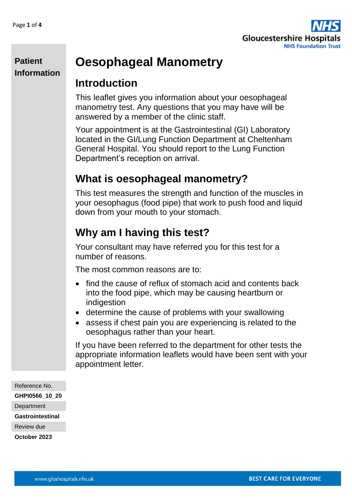

# **Oesophageal Manometry**

#### **Introduction**

This leaflet gives you information about your oesophageal manometry test. Any questions that you may have will be answered by a member of the clinic staff.

Your appointment is at the Gastrointestinal (GI) Laboratory located in the GI/Lung Function Department at Cheltenham General Hospital. You should report to the Lung Function Department's reception on arrival.

## **What is oesophageal manometry?**

This test measures the strength and function of the muscles in your oesophagus (food pipe) that work to push food and liquid down from your mouth to your stomach.

# **Why am I having this test?**

Your consultant may have referred you for this test for a number of reasons.

The most common reasons are to:

- find the cause of reflux of stomach acid and contents back into the food pipe, which may be causing heartburn or indigestion
- determine the cause of problems with your swallowing
- assess if chest pain you are experiencing is related to the oesophagus rather than your heart.

If you have been referred to the department for other tests the appropriate information leaflets would have been sent with your appointment letter.

Reference No. **GHPI0566\_10\_20 Department Gastrointestinal** Review due **October 2023**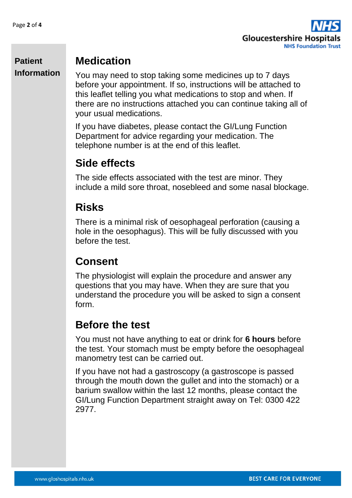

#### **Medication**

You may need to stop taking some medicines up to 7 days before your appointment. If so, instructions will be attached to this leaflet telling you what medications to stop and when. If there are no instructions attached you can continue taking all of your usual medications.

If you have diabetes, please contact the GI/Lung Function Department for advice regarding your medication. The telephone number is at the end of this leaflet.

## **Side effects**

The side effects associated with the test are minor. They include a mild sore throat, nosebleed and some nasal blockage.

## **Risks**

There is a minimal risk of oesophageal perforation (causing a hole in the oesophagus). This will be fully discussed with you before the test.

# **Consent**

The physiologist will explain the procedure and answer any questions that you may have. When they are sure that you understand the procedure you will be asked to sign a consent form.

# **Before the test**

You must not have anything to eat or drink for **6 hours** before the test. Your stomach must be empty before the oesophageal manometry test can be carried out.

If you have not had a gastroscopy (a gastroscope is passed through the mouth down the gullet and into the stomach) or a barium swallow within the last 12 months, please contact the GI/Lung Function Department straight away on Tel: 0300 422 2977.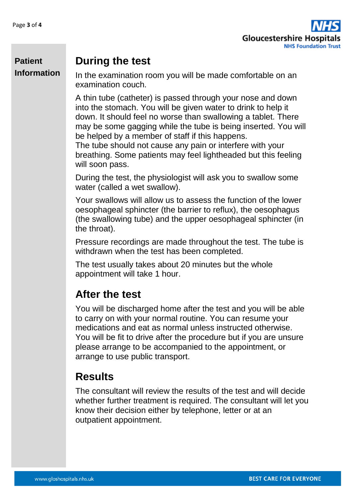

#### **During the test**

In the examination room you will be made comfortable on an examination couch.

A thin tube (catheter) is passed through your nose and down into the stomach. You will be given water to drink to help it down. It should feel no worse than swallowing a tablet. There may be some gagging while the tube is being inserted. You will be helped by a member of staff if this happens.

The tube should not cause any pain or interfere with your breathing. Some patients may feel lightheaded but this feeling will soon pass.

During the test, the physiologist will ask you to swallow some water (called a wet swallow).

Your swallows will allow us to assess the function of the lower oesophageal sphincter (the barrier to reflux), the oesophagus (the swallowing tube) and the upper oesophageal sphincter (in the throat).

Pressure recordings are made throughout the test. The tube is withdrawn when the test has been completed.

The test usually takes about 20 minutes but the whole appointment will take 1 hour.

# **After the test**

You will be discharged home after the test and you will be able to carry on with your normal routine. You can resume your medications and eat as normal unless instructed otherwise. You will be fit to drive after the procedure but if you are unsure please arrange to be accompanied to the appointment, or arrange to use public transport.

# **Results**

The consultant will review the results of the test and will decide whether further treatment is required. The consultant will let you know their decision either by telephone, letter or at an outpatient appointment.